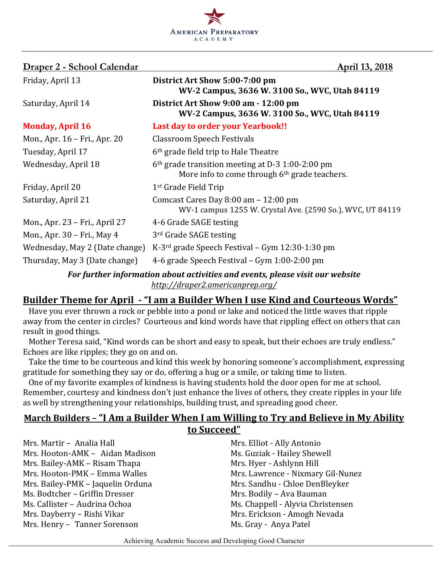

| Draper 2 - School Calendar                                                    | April 13, 2018                                                                                                |  |  |
|-------------------------------------------------------------------------------|---------------------------------------------------------------------------------------------------------------|--|--|
| Friday, April 13                                                              | District Art Show 5:00-7:00 pm<br>WV-2 Campus, 3636 W. 3100 So., WVC, Utah 84119                              |  |  |
| Saturday, April 14                                                            | District Art Show 9:00 am - 12:00 pm<br>WV-2 Campus, 3636 W. 3100 So., WVC, Utah 84119                        |  |  |
| <b>Monday, April 16</b>                                                       | Last day to order your Yearbook!!                                                                             |  |  |
| Mon., Apr. 16 – Fri., Apr. 20                                                 | <b>Classroom Speech Festivals</b>                                                                             |  |  |
| Tuesday, April 17                                                             | 6 <sup>th</sup> grade field trip to Hale Theatre                                                              |  |  |
| Wednesday, April 18                                                           | 6 <sup>th</sup> grade transition meeting at D-3 1:00-2:00 pm<br>More info to come through 6th grade teachers. |  |  |
| Friday, April 20                                                              | 1 <sup>st</sup> Grade Field Trip                                                                              |  |  |
| Saturday, April 21                                                            | Comcast Cares Day 8:00 am - 12:00 pm<br>WV-1 campus 1255 W. Crystal Ave. (2590 So.), WVC, UT 84119            |  |  |
| Mon., Apr. 23 – Fri., April 27                                                | 4-6 Grade SAGE testing                                                                                        |  |  |
| Mon., Apr. 30 – Fri., May 4                                                   | 3rd Grade SAGE testing                                                                                        |  |  |
| Wednesday, May 2 (Date change)                                                | K-3 <sup>rd</sup> grade Speech Festival – Gym $12:30-1:30$ pm                                                 |  |  |
| Thursday, May 3 (Date change)                                                 | 4-6 grade Speech Festival - Gym 1:00-2:00 pm                                                                  |  |  |
| For further information about activities and events, please visit our website |                                                                                                               |  |  |

*http://draper2.americanprep.org/*

# **Builder Theme for April - "I am a Builder When I use Kind and Courteous Words"**

Have you ever thrown a rock or pebble into a pond or lake and noticed the little waves that ripple away from the center in circles? Courteous and kind words have that rippling effect on others that can result in good things.

Mother Teresa said, "Kind words can be short and easy to speak, but their echoes are truly endless." Echoes are like ripples; they go on and on.

Take the time to be courteous and kind this week by honoring someone's accomplishment, expressing gratitude for something they say or do, offering a hug or a smile, or taking time to listen.

One of my favorite examples of kindness is having students hold the door open for me at school. Remember, courtesy and kindness don't just enhance the lives of others, they create ripples in your life as well by strengthening your relationships, building trust, and spreading good cheer.

# **March Builders - "I Am a Builder When I am Willing to Try and Believe in My Ability to Succeed"**

Mrs. Martir – Analia Hall Mrs. Elliot - Ally Antonio Mrs. Hooton-AMK - Aidan Madison Ms. Guziak - Hailey Shewell Mrs. Bailey-AMK – Risam Thapa Mrs. Hyer - Ashlynn Hill Mrs. Hooton-PMK – Emma Walles Mrs. Lawrence - Nixmary Gil-Nunez Mrs. Bailey-PMK – Jaquelin Orduna Mrs. Sandhu - Chloe DenBleyker Ms. Bodtcher – Griffin Dresser Mrs. Bodily – Ava Bauman Ms. Callister – Audrina Ochoa Ms. Chappell - Alyvia Christensen Mrs. Dayberry – Rishi Vikar Mrs. Erickson - Amogh Nevada Mrs. Henry - Tanner Sorenson Ms. Gray - Anya Patel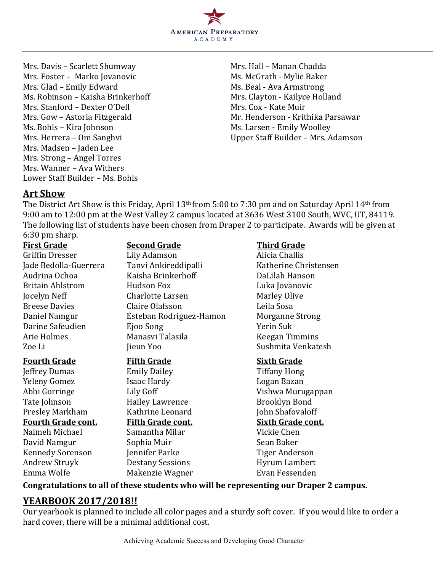

Mrs. Davis – Scarlett Shumway Mrs. Hall – Manan Chadda Mrs. Foster – Marko Jovanovic Ms. McGrath - Mylie Baker Mrs. Glad – Emily Edward Ms. Beal - Ava Armstrong Ms. Robinson – Kaisha Brinkerhoff Mrs. Clayton - Kailyce Holland Mrs. Stanford - Dexter O'Dell Mrs. Cox - Kate Muir Ms. Bohls – Kira Johnson Ms. Larsen - Emily Woolley Mrs. Herrera – Om Sanghvi **Vander Staff Builder** – Mrs. Adamson Mrs. Madsen - Jaden Lee Mrs. Strong - Angel Torres Mrs. Wanner - Ava Withers Lower Staff Builder – Ms. Bohls

Mrs. Gow – Astoria Fitzgerald Mr. Henderson - Krithika Parsawar

## **Art Show**

The District Art Show is this Friday, April 13<sup>th</sup> from 5:00 to 7:30 pm and on Saturday April 14<sup>th</sup> from 9:00 am to 12:00 pm at the West Valley 2 campus located at 3636 West 3100 South, WVC, UT, 84119. The following list of students have been chosen from Draper 2 to participate. Awards will be given at 6:30 pm sharp.

**First Grade Second Grade Third Grade** 

Griffin Dresser Lily Adamson Alicia Challis Jade Bedolla-Guerrera Tanvi Ankireddipalli Katherine Christensen Audrina Ochoa Kaisha Brinkerhoff DaLilah Hanson Britain Ahlstrom Fudson Fox Form Hudson Fox Luka Iovanovic **Jocelyn Neff** Charlotte Larsen Marley Olive Breese Davies **Claire Olafsson** Claire Claire Claire Claire **Leila** Sosa Daniel Namgur Esteban Rodriguez-Hamon Morganne Strong Darine Safeudien Eioo Song The Successive Contract Suk Arie Holmes **Manasvi Talasila** Keegan Timmins Zoe Li Jieun Yoo Sushmita Venkatesh

**Jeffrey Dumas** Emily Dailey **Emily Dailey** Tiffany Hong Yeleny Gomez **Isaac Hardy Isaac Hardy Logan Bazan** Tate Johnson **Hailey Lawrence** Brooklyn Bond Presley Markham Kathrine Leonard John Shafovaloff Naimeh Michael Samantha Milar Vickie Chen David Namgur Sophia Muir Sean Baker Kennedy Sorenson Jennifer Parke Tiger Anderson Andrew Struyk **Destany Sessions** Hyrum Lambert Emma Wolfe Makenzie Wagner Evan Fessenden

## **Fourth Grade Fifth Grade Fifth Grade Sixth Grade**

Abbi Gorringe Lily Goff Vishwa Murugappan **Fourth Grade cont. Fifth Grade cont. Sixth Grade cont.**

## Congratulations to all of these students who will be representing our Draper 2 campus.

# **YEARBOOK 2017/2018!!**

Our yearbook is planned to include all color pages and a sturdy soft cover. If you would like to order a hard cover, there will be a minimal additional cost.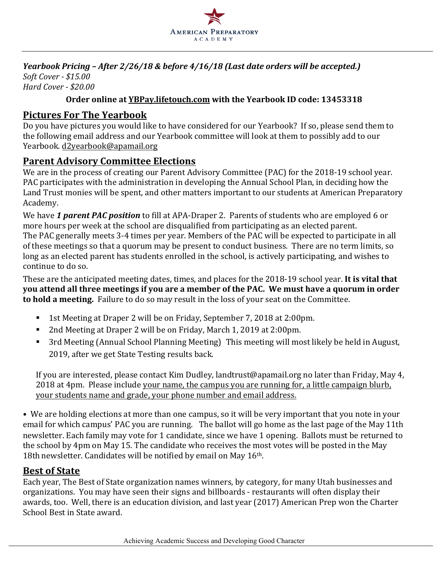

#### *Yearbook Pricing* – *After 2/26/18 & before 4/16/18* (Last date orders will be accepted.) *Soft Cover - \$15.00 Hard Cover - \$20.00*

### **Order online at YBPay.lifetouch.com with the Yearbook ID code: 13453318**

# **Pictures For The Yearbook**

Do you have pictures you would like to have considered for our Yearbook? If so, please send them to the following email address and our Yearbook committee will look at them to possibly add to our Yearbook. d2yearbook@apamail.org

## **Parent Advisory Committee Elections**

We are in the process of creating our Parent Advisory Committee (PAC) for the 2018-19 school year. PAC participates with the administration in developing the Annual School Plan, in deciding how the Land Trust monies will be spent, and other matters important to our students at American Preparatory Academy.

We have 1 parent PAC position to fill at APA-Draper 2. Parents of students who are employed 6 or more hours per week at the school are disqualified from participating as an elected parent. The PAC generally meets 3-4 times per year. Members of the PAC will be expected to participate in all of these meetings so that a quorum may be present to conduct business. There are no term limits, so long as an elected parent has students enrolled in the school, is actively participating, and wishes to continue to do so.

These are the anticipated meeting dates, times, and places for the 2018-19 school year. It is vital that **you attend all three meetings if you are a member of the PAC. We must have a quorum in order to hold a meeting.** Failure to do so may result in the loss of your seat on the Committee.

- 1st Meeting at Draper 2 will be on Friday, September 7, 2018 at 2:00pm.
- 2nd Meeting at Draper 2 will be on Friday, March 1, 2019 at 2:00pm.
- 3rd Meeting (Annual School Planning Meeting) This meeting will most likely be held in August, 2019, after we get State Testing results back.

If you are interested, please contact Kim Dudley, landtrust@apamail.org no later than Friday, May 4, 2018 at 4pm. Please include your name, the campus you are running for, a little campaign blurb, your students name and grade, your phone number and email address.

• We are holding elections at more than one campus, so it will be very important that you note in your email for which campus' PAC you are running. The ballot will go home as the last page of the May 11th newsletter. Each family may vote for 1 candidate, since we have 1 opening. Ballots must be returned to the school by 4pm on May 15. The candidate who receives the most votes will be posted in the May 18th newsletter. Candidates will be notified by email on May  $16<sup>th</sup>$ .

## **Best of State**

Each year, The Best of State organization names winners, by category, for many Utah businesses and organizations. You may have seen their signs and billboards - restaurants will often display their awards, too. Well, there is an education division, and last year (2017) American Prep won the Charter School Best in State award.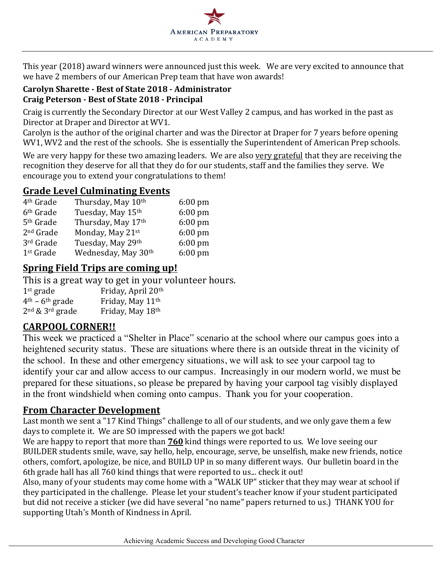

This year (2018) award winners were announced just this week. We are very excited to announce that we have 2 members of our American Prep team that have won awards!

## **Carolyn Sharette - Best of State 2018 - Administrator Craig Peterson - Best of State 2018 - Principal**

Craig is currently the Secondary Director at our West Valley 2 campus, and has worked in the past as Director at Draper and Director at WV1.

Carolyn is the author of the original charter and was the Director at Draper for 7 years before opening WV1, WV2 and the rest of the schools. She is essentially the Superintendent of American Prep schools.

We are very happy for these two amazing leaders. We are also very grateful that they are receiving the recognition they deserve for all that they do for our students, staff and the families they serve. We encourage you to extend your congratulations to them!

## **Grade Level Culminating Events**

| 4 <sup>th</sup> Grade | Thursday, May 10th  | $6:00 \text{ pm}$ |
|-----------------------|---------------------|-------------------|
| 6 <sup>th</sup> Grade | Tuesday, May 15th   | $6:00$ pm         |
| 5 <sup>th</sup> Grade | Thursday, May 17th  | $6:00 \text{ pm}$ |
| 2 <sup>nd</sup> Grade | Monday, May 21st    | $6:00$ pm         |
| 3rd Grade             | Tuesday, May 29th   | $6:00$ pm         |
| 1 <sup>st</sup> Grade | Wednesday, May 30th | 6:00 pm           |

# **Spring Field Trips are coming up!**

This is a great way to get in your volunteer hours.  $1<sup>st</sup>$  grade Friday, April 20<sup>th</sup>  $4<sup>th</sup> - 6<sup>th</sup>$  grade Friday, May  $11<sup>th</sup>$  $2<sup>nd</sup>$  &  $3<sup>rd</sup>$  grade Friday, May  $18<sup>th</sup>$ 

# **CARPOOL CORNER!!**

This week we practiced a "Shelter in Place" scenario at the school where our campus goes into a heightened security status. These are situations where there is an outside threat in the vicinity of the school. In these and other emergency situations, we will ask to see your carpool tag to identify your car and allow access to our campus. Increasingly in our modern world, we must be prepared for these situations, so please be prepared by having your carpool tag visibly displayed in the front windshield when coming onto campus. Thank you for your cooperation.

# **From Character Development**

Last month we sent a "17 Kind Things" challenge to all of our students, and we only gave them a few days to complete it. We are SO impressed with the papers we got back!

We are happy to report that more than **760** kind things were reported to us. We love seeing our BUILDER students smile, wave, say hello, help, encourage, serve, be unselfish, make new friends, notice others, comfort, apologize, be nice, and BUILD UP in so many different ways. Our bulletin board in the 6th grade hall has all  $760$  kind things that were reported to us... check it out!

Also, many of your students may come home with a "WALK UP" sticker that they may wear at school if they participated in the challenge. Please let your student's teacher know if your student participated but did not receive a sticker (we did have several "no name" papers returned to us.) THANK YOU for supporting Utah's Month of Kindness in April.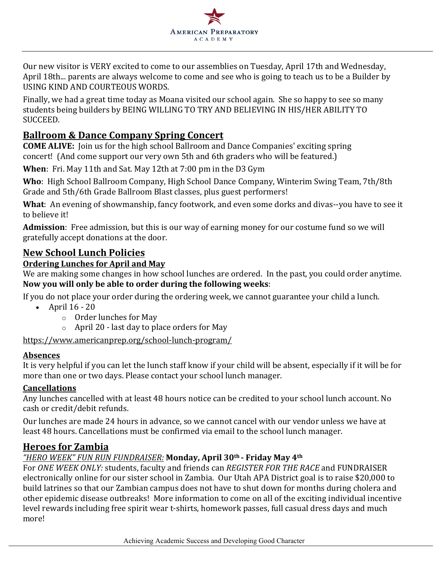

Our new visitor is VERY excited to come to our assemblies on Tuesday, April 17th and Wednesday, April 18th... parents are always welcome to come and see who is going to teach us to be a Builder by USING KIND AND COURTEOUS WORDS.

Finally, we had a great time today as Moana visited our school again. She so happy to see so many students being builders by BEING WILLING TO TRY AND BELIEVING IN HIS/HER ABILITY TO SUCCEED.

# **Ballroom & Dance Company Spring Concert**

**COME ALIVE:** Join us for the high school Ballroom and Dance Companies' exciting spring concert! (And come support our very own 5th and 6th graders who will be featured.)

**When**: Fri. May 11th and Sat. May 12th at 7:00 pm in the D3 Gym

**Who**: High School Ballroom Company, High School Dance Company, Winterim Swing Team, 7th/8th Grade and 5th/6th Grade Ballroom Blast classes, plus guest performers!

**What**: An evening of showmanship, fancy footwork, and even some dorks and divas--you have to see it to believe it!

Admission: Free admission, but this is our way of earning money for our costume fund so we will gratefully accept donations at the door.

# **New School Lunch Policies**

### **Ordering Lunches for April and May**

We are making some changes in how school lunches are ordered. In the past, you could order anytime. Now you will only be able to order during the following weeks:

If you do not place your order during the ordering week, we cannot guarantee your child a lunch.

- April  $16 20$ 
	- $\circ$  Order lunches for May
	- $\circ$  April 20 last day to place orders for May

#### https://www.americanprep.org/school-lunch-program/

#### **Absences**

It is very helpful if you can let the lunch staff know if your child will be absent, especially if it will be for more than one or two days. Please contact your school lunch manager.

#### **Cancellations**

Any lunches cancelled with at least 48 hours notice can be credited to your school lunch account. No cash or credit/debit refunds.

Our lunches are made 24 hours in advance, so we cannot cancel with our vendor unless we have at least 48 hours. Cancellations must be confirmed via email to the school lunch manager.

## **Heroes for Zambia**

## *"HERO WEEK" FUN RUN FUNDRAISER:* **Monday, April 30th - Friday May 4th**

For ONE WEEK ONLY: students, faculty and friends can *REGISTER FOR THE RACE* and FUNDRAISER electronically online for our sister school in Zambia. Our Utah APA District goal is to raise \$20,000 to build latrines so that our Zambian campus does not have to shut down for months during cholera and other epidemic disease outbreaks! More information to come on all of the exciting individual incentive level rewards including free spirit wear t-shirts, homework passes, full casual dress days and much more!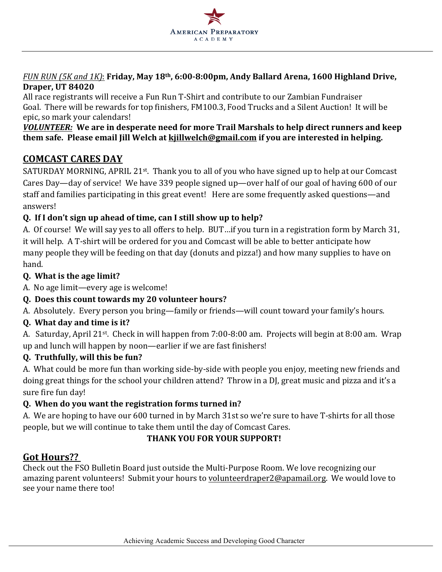

*FUN RUN* (5*K* and 1*K*): **Friday, May 18<sup>th</sup>, 6:00-8:00pm, Andy Ballard Arena, 1600 Highland Drive, Draper, UT 84020**

All race registrants will receive a Fun Run T-Shirt and contribute to our Zambian Fundraiser Goal. There will be rewards for top finishers, FM100.3, Food Trucks and a Silent Auction! It will be epic, so mark your calendars!

#### **VOLUNTEER:** We are in desperate need for more Trail Marshals to help direct runners and keep **them safe.** Please email Jill Welch at **kjillwelch@gmail.com** if you are interested in helping.

# **COMCAST CARES DAY**

SATURDAY MORNING, APRIL 21<sup>st</sup>. Thank you to all of you who have signed up to help at our Comcast Cares Day—day of service! We have 339 people signed up—over half of our goal of having 600 of our staff and families participating in this great event! Here are some frequently asked questions—and answers!

# **Q. If I don't sign up ahead of time, can I still show up to help?**

A. Of course! We will say yes to all offers to help. BUT...if you turn in a registration form by March 31, it will help. A T-shirt will be ordered for you and Comcast will be able to better anticipate how many people they will be feeding on that day (donuts and pizza!) and how many supplies to have on hand.

## **Q.** What is the age limit?

A. No age limit—every age is welcome!

## **Q.** Does this count towards my 20 volunteer hours?

A. Absolutely. Every person you bring—family or friends—will count toward your family's hours.

## **Q. What day and time is it?**

A. Saturday, April 21<sup>st</sup>. Check in will happen from 7:00-8:00 am. Projects will begin at 8:00 am. Wrap up and lunch will happen by noon—earlier if we are fast finishers!

## **Q. Truthfully, will this be fun?**

A. What could be more fun than working side-by-side with people you enjoy, meeting new friends and doing great things for the school your children attend? Throw in a DJ, great music and pizza and it's a sure fire fun day!

# **Q. When do you want the registration forms turned in?**

A. We are hoping to have our 600 turned in by March 31st so we're sure to have T-shirts for all those people, but we will continue to take them until the day of Comcast Cares.

# **THANK YOU FOR YOUR SUPPORT!**

# **Got Hours??**

Check out the FSO Bulletin Board just outside the Multi-Purpose Room. We love recognizing our amazing parent volunteers! Submit your hours to volunteerdraper2@apamail.org. We would love to see your name there too!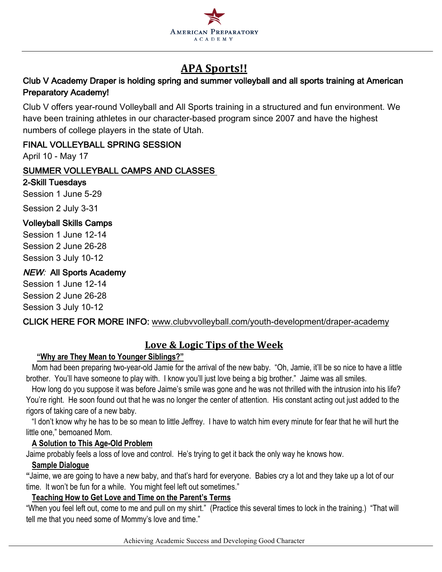

# **APA Sports!!**

# Club V Academy Draper is holding spring and summer volleyball and all sports training at American Preparatory Academy!

Club V offers year-round Volleyball and All Sports training in a structured and fun environment. We have been training athletes in our character-based program since 2007 and have the highest numbers of college players in the state of Utah.

## FINAL VOLLEYBALL SPRING SESSION

April 10 - May 17

## SUMMER VOLLEYBALL CAMPS AND CLASSES

### 2-Skill Tuesdays

Session 1 June 5-29

Session 2 July 3-31

# Volleyball Skills Camps

Session 1 June 12-14 Session 2 June 26-28 Session 3 July 10-12

# **NEW: All Sports Academy**

Session 1 June 12-14 Session 2 June 26-28 Session 3 July 10-12

CLICK HERE FOR MORE INFO: www.clubvvolleyball.com/youth-development/draper-academy

# Love & Logic Tips of the Week

# **"Why are They Mean to Younger Siblings?"**

 Mom had been preparing two-year-old Jamie for the arrival of the new baby. "Oh, Jamie, it'll be so nice to have a little brother. You'll have someone to play with. I know you'll just love being a big brother." Jaime was all smiles.

How long do you suppose it was before Jaime's smile was gone and he was not thrilled with the intrusion into his life? You're right. He soon found out that he was no longer the center of attention. His constant acting out just added to the rigors of taking care of a new baby.

"I don't know why he has to be so mean to little Jeffrey. I have to watch him every minute for fear that he will hurt the little one," bemoaned Mom.

## **A Solution to This Age-Old Problem**

Jaime probably feels a loss of love and control. He's trying to get it back the only way he knows how.

## **Sample Dialogue**

**"**Jaime, we are going to have a new baby, and that's hard for everyone. Babies cry a lot and they take up a lot of our time. It won't be fun for a while. You might feel left out sometimes."

## **Teaching How to Get Love and Time on the Parent's Terms**

"When you feel left out, come to me and pull on my shirt." (Practice this several times to lock in the training.) "That will tell me that you need some of Mommy's love and time."

Achieving Academic Success and Developing Good Character